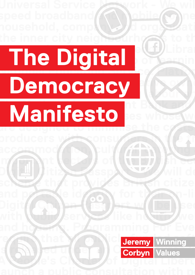#### the inner city neighbourhoods to the **community. Open Knowledge Library - We will create a free-to-use of the free-to-use of learning resources in a free-to-use of learning resources for the analysis National Education Service. Platform Cooperatives - We more consider the cooperative of the cooperative of the cooperative of the cooperative of the cooperative of the cooperative of the cooperative of the cooperative of the cooperative of the cooperative of the cooperativ Democracy (Data The National Investment Bank and regional banks will**  *Manifesto* ses whose w **are designed to minimise the costs of connecting The Digital Manifesto**



**Digital Citizen Passport - We will develop a volume of the View Will develop a** 

scheme that provides British citize

with  $\sqrt{\text{ubl}}$  service like h $\sqrt{\text{ubl}}$  we

and portable identity for the security

Digit**al City Passed (1539)** Section 1 [be used

Universal Service Network - We wil

producers with consumers in the tr

important in the British equation of the British economy.

accommodation, cultural, cultural, cultural, cultural, cultural, cultural, cultural, cultural, cultural, cultura

speed broadband **(RAMobile conne** 

household, compl**okab/d organizati**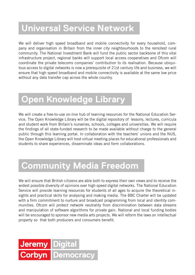## **Universal Service Network**

We will deliver high speed broadband and mobile connectivity for every household, company and organisation in Britain from the inner city neighbourhoods to the remotest rural community. The National Investment Bank will fund the public sector backbone of this vital infrastructure project, regional banks will support local access cooperatives and Ofcom will coordinate the private telecoms companies' contribution to its realisation. Because ubiquitous access to digital networks is now a prerequisite of 21st century life and business, we will ensure that high speed broadband and mobile connectivity is available at the same low price without any data transfer cap across the whole country.

### **Open Knowledge Library**

We will create a free-to-use on-line hub of learning resources for the National Education Service. The Open Knowledge Library will be the digital repository of lessons, lectures, curricula and student work from Britain's nurseries, schools, colleges and universities. We will require the findings of all state-funded research to be made available without charge to the general public through this learning portal. In collaboration with the teachers' unions and the NUS, the Open Knowledge Library will host virtual meeting places for educational professionals and students to share experiences, disseminate ideas and form collaborations.

# **Community Media Freedom**

We will ensure that British citizens are able both to express their own views and to receive the widest possible diversity of opinions over high speed digital networks. The National Education Service will provide learning resources for students of all ages to acquire the theoretical insights and practical skills for analysing and making media. The BBC Charter will be updated with a firm commitment to nurture and broadcast programming from local and identity communities. Ofcom will protect network neutrality from discrimination between data streams and manipulation of software algorithms for private gain. National and local funding bodies will be encouraged to sponsor new media arts projects. We will reform the laws on intellectual property so that both producers and consumers benefit.

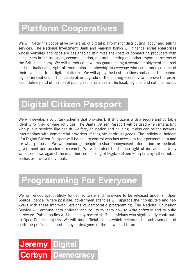### **Platform Cooperatives**

We will foster the cooperative ownership of digital platforms for distributing labour and selling services. The National Investment Bank and regional banks will finance social enterprises whose websites and apps are designed to minimise the costs of connecting producers with consumers in the transport, accommodation, cultural, catering and other important sectors of the British economy. We will introduce new laws guaranteeing a secure employment contract and the inalienable right of trade union membership to everyone who earns most or some of their livelihood from digital platforms. We will apply the best practices and adopt the technological innovations of this cooperative upgrade of the sharing economy to improve the provision, delivery and utilisation of public sector services at the local, regional and national levels.

### **Digital Citizen Passport**

We will develop a voluntary scheme that provides British citizens with a secure and portable identity for their on-line activities. The Digital Citizen Passport will be used when interacting with public services like health, welfare, education and housing. It also can be the network intermediary with commercial providers of tangible or virtual goods. The individual holders of a Digital Citizen Passport will be able to control who has access to their personal data and for what purposes. We will encourage people to share anonymised information for medical, government and academic research. We will protect the human right of individual privacy with strict laws against the unauthorised hacking of Digital Citizen Passports by either public bodies or private individuals.

# **Programming For Everyone**

We will encourage publicly funded software and hardware to be released under an Open Source licence. Where possible, government agencies will upgrade their computers and networks with these improved versions of democratic programming. The National Education Service will enthuse both children and adults to learn how to write software and to build hardware. Public bodies will financially reward staff technicians who significantly contribute to Open Source projects. We will host official events which celebrate the achievements of both the professional and hobbyist designers of the networked future.